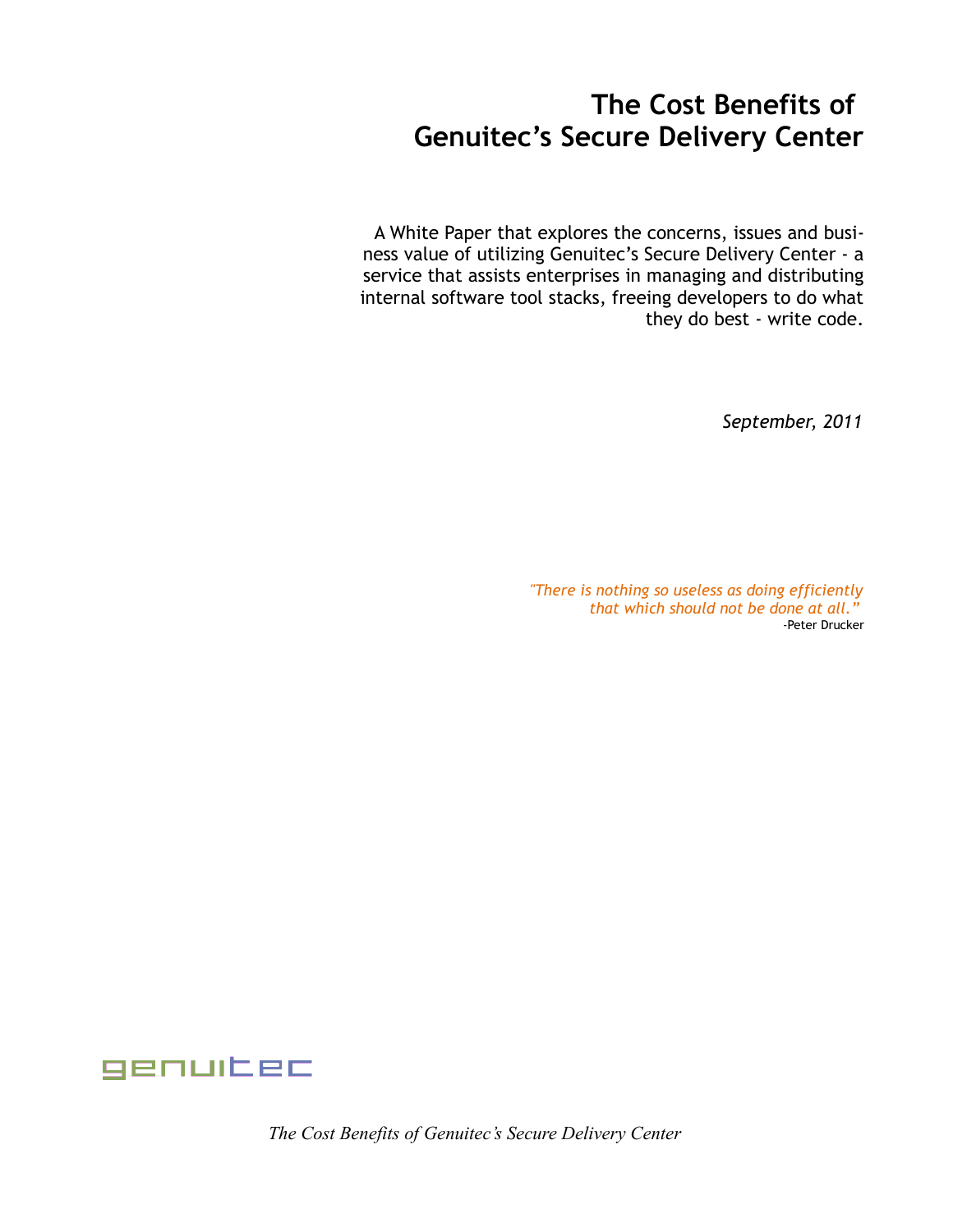## **The Cost Benefits of Genuitec's Secure Delivery Center**

A White Paper that explores the concerns, issues and business value of utilizing Genuitec's Secure Delivery Center - a service that assists enterprises in managing and distributing internal software tool stacks, freeing developers to do what they do best - write code.

 *September, 2011*

*"There is nothing so useless as doing efficiently that which should not be done at all."* -Peter Drucker



*The Cost Benefits of Genuitec's Secure Delivery Center*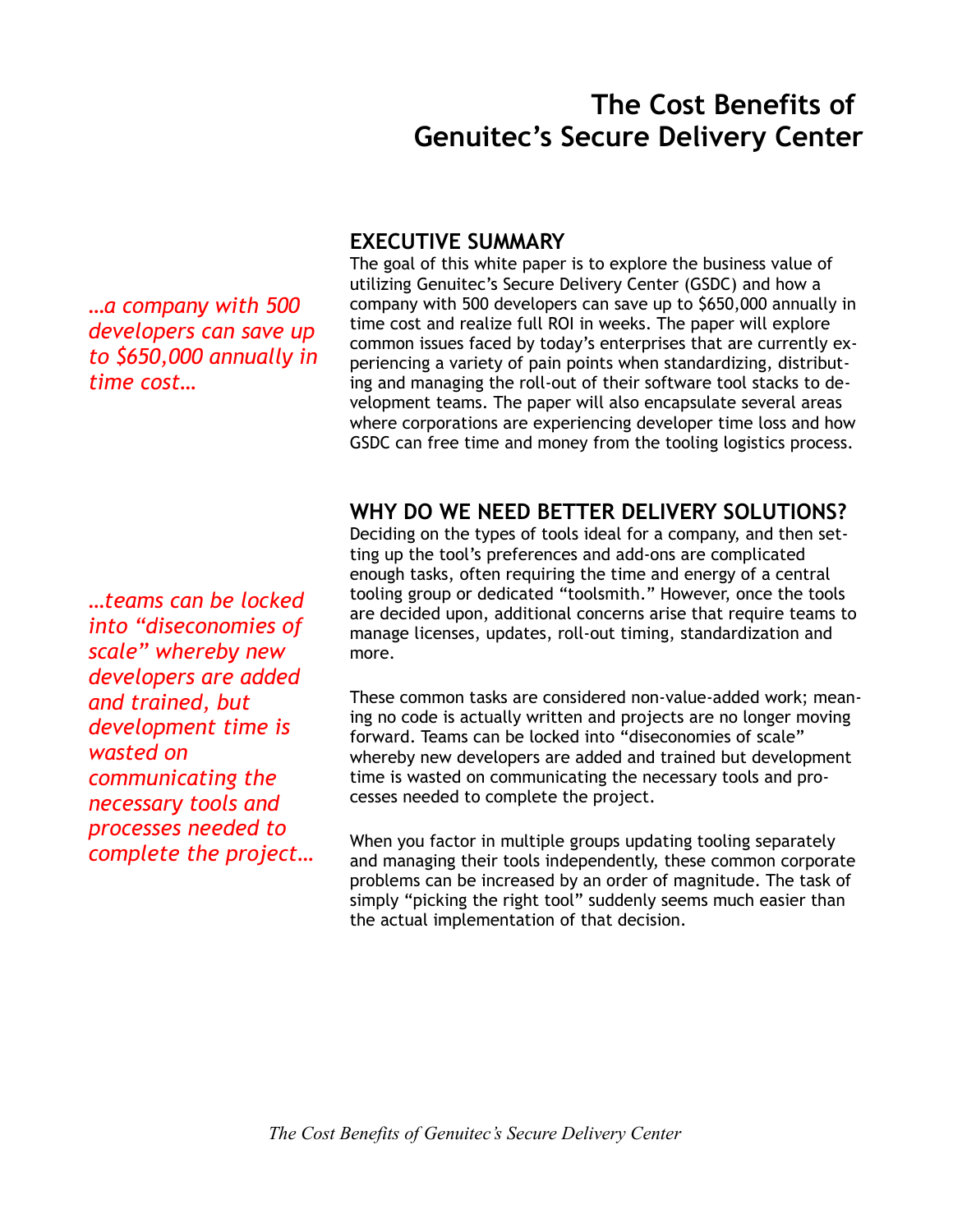# **The Cost Benefits of Genuitec's Secure Delivery Center**

*…a company with 500 developers can save up to \$650,000 annually in time cost…*

*…teams can be locked into "diseconomies of scale" whereby new developers are added and trained, but development time is wasted on communicating the necessary tools and processes needed to complete the project…* 

## **EXECUTIVE SUMMARY**

The goal of this white paper is to explore the business value of utilizing Genuitec's Secure Delivery Center (GSDC) and how a company with 500 developers can save up to \$650,000 annually in time cost and realize full ROI in weeks. The paper will explore common issues faced by today's enterprises that are currently experiencing a variety of pain points when standardizing, distributing and managing the roll-out of their software tool stacks to development teams. The paper will also encapsulate several areas where corporations are experiencing developer time loss and how GSDC can free time and money from the tooling logistics process.

## **WHY DO WE NEED BETTER DELIVERY SOLUTIONS?**

Deciding on the types of tools ideal for a company, and then setting up the tool's preferences and add-ons are complicated enough tasks, often requiring the time and energy of a central tooling group or dedicated "toolsmith." However, once the tools are decided upon, additional concerns arise that require teams to manage licenses, updates, roll-out timing, standardization and more.

These common tasks are considered non-value-added work; meaning no code is actually written and projects are no longer moving forward. Teams can be locked into "diseconomies of scale" whereby new developers are added and trained but development time is wasted on communicating the necessary tools and processes needed to complete the project.

When you factor in multiple groups updating tooling separately and managing their tools independently, these common corporate problems can be increased by an order of magnitude. The task of simply "picking the right tool" suddenly seems much easier than the actual implementation of that decision.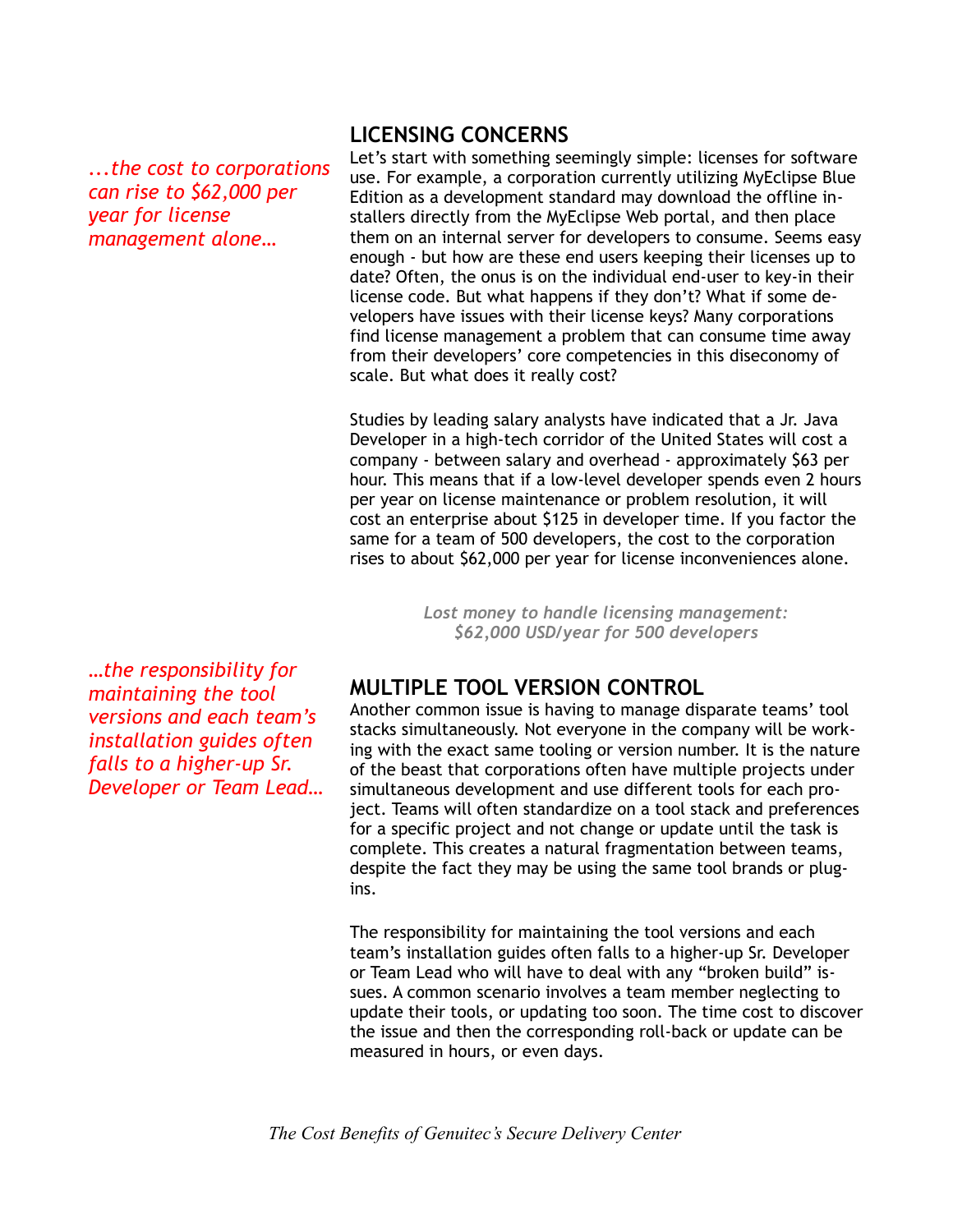*...the cost to corporations can rise to \$62,000 per year for license management alone…*

## **LICENSING CONCERNS**

Let's start with something seemingly simple: licenses for software use. For example, a corporation currently utilizing MyEclipse Blue Edition as a development standard may download the offline installers directly from the MyEclipse Web portal, and then place them on an internal server for developers to consume. Seems easy enough - but how are these end users keeping their licenses up to date? Often, the onus is on the individual end-user to key-in their license code. But what happens if they don't? What if some developers have issues with their license keys? Many corporations find license management a problem that can consume time away from their developers' core competencies in this diseconomy of scale. But what does it really cost?

Studies by leading salary analysts have indicated that a Jr. Java Developer in a high-tech corridor of the United States will cost a company - between salary and overhead - approximately \$63 per hour. This means that if a low-level developer spends even 2 hours per year on license maintenance or problem resolution, it will cost an enterprise about \$125 in developer time. If you factor the same for a team of 500 developers, the cost to the corporation rises to about \$62,000 per year for license inconveniences alone.

> *Lost money to handle licensing management: \$62,000 USD/year for 500 developers*

*…the responsibility for maintaining the tool versions and each team's installation guides often falls to a higher-up Sr. Developer or Team Lead…*

## **MULTIPLE TOOL VERSION CONTROL**

Another common issue is having to manage disparate teams' tool stacks simultaneously. Not everyone in the company will be working with the exact same tooling or version number. It is the nature of the beast that corporations often have multiple projects under simultaneous development and use different tools for each project. Teams will often standardize on a tool stack and preferences for a specific project and not change or update until the task is complete. This creates a natural fragmentation between teams, despite the fact they may be using the same tool brands or plugins.

The responsibility for maintaining the tool versions and each team's installation guides often falls to a higher-up Sr. Developer or Team Lead who will have to deal with any "broken build" issues. A common scenario involves a team member neglecting to update their tools, or updating too soon. The time cost to discover the issue and then the corresponding roll-back or update can be measured in hours, or even days.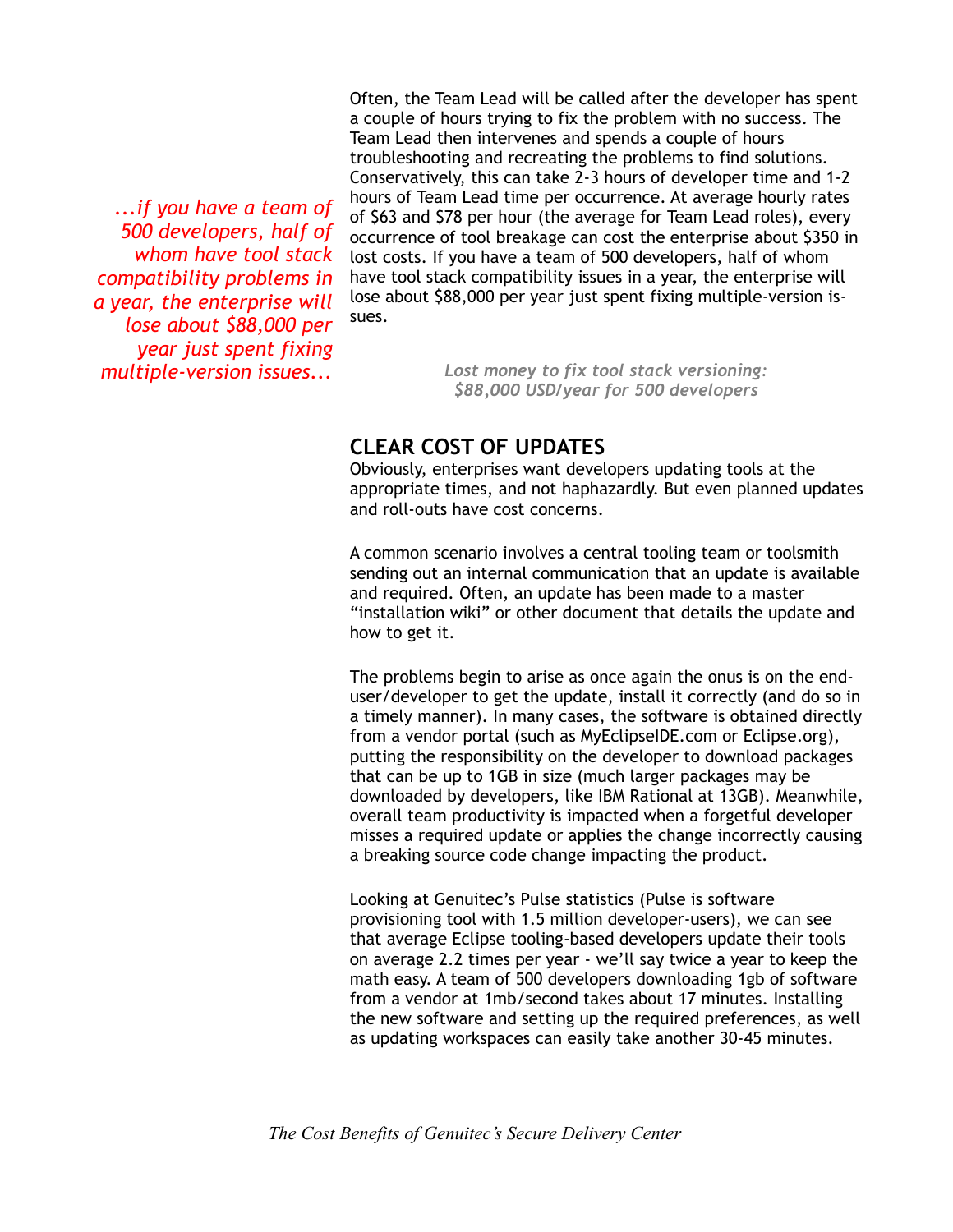*...if you have a team of 500 developers, half of whom have tool stack compatibility problems in a year, the enterprise will lose about \$88,000 per year just spent fixing multiple-version issues...*

Often, the Team Lead will be called after the developer has spent a couple of hours trying to fix the problem with no success. The Team Lead then intervenes and spends a couple of hours troubleshooting and recreating the problems to find solutions. Conservatively, this can take 2-3 hours of developer time and 1-2 hours of Team Lead time per occurrence. At average hourly rates of \$63 and \$78 per hour (the average for Team Lead roles), every occurrence of tool breakage can cost the enterprise about \$350 in lost costs. If you have a team of 500 developers, half of whom have tool stack compatibility issues in a year, the enterprise will lose about \$88,000 per year just spent fixing multiple-version issues.

> *Lost money to fix tool stack versioning: \$88,000 USD/year for 500 developers*

## **CLEAR COST OF UPDATES**

Obviously, enterprises want developers updating tools at the appropriate times, and not haphazardly. But even planned updates and roll-outs have cost concerns.

A common scenario involves a central tooling team or toolsmith sending out an internal communication that an update is available and required. Often, an update has been made to a master "installation wiki" or other document that details the update and how to get it.

The problems begin to arise as once again the onus is on the enduser/developer to get the update, install it correctly (and do so in a timely manner). In many cases, the software is obtained directly from a vendor portal (such as MyEclipseIDE.com or Eclipse.org), putting the responsibility on the developer to download packages that can be up to 1GB in size (much larger packages may be downloaded by developers, like IBM Rational at 13GB). Meanwhile, overall team productivity is impacted when a forgetful developer misses a required update or applies the change incorrectly causing a breaking source code change impacting the product.

Looking at Genuitec's Pulse statistics (Pulse is software provisioning tool with 1.5 million developer-users), we can see that average Eclipse tooling-based developers update their tools on average 2.2 times per year - we'll say twice a year to keep the math easy. A team of 500 developers downloading 1gb of software from a vendor at 1mb/second takes about 17 minutes. Installing the new software and setting up the required preferences, as well as updating workspaces can easily take another 30-45 minutes.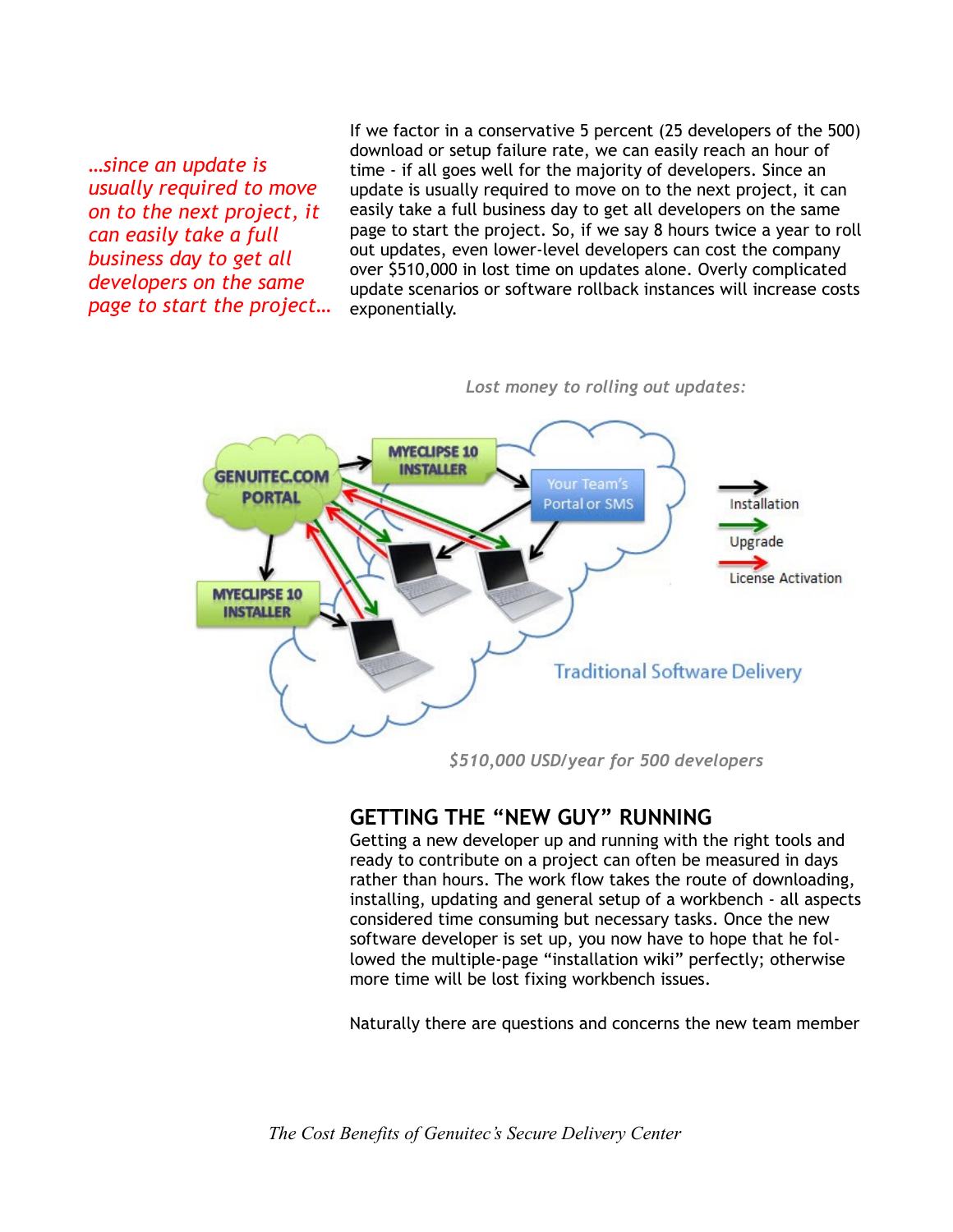*…since an update is usually required to move on to the next project, it can easily take a full business day to get all developers on the same page to start the project…* If we factor in a conservative 5 percent (25 developers of the 500) download or setup failure rate, we can easily reach an hour of time - if all goes well for the majority of developers. Since an update is usually required to move on to the next project, it can easily take a full business day to get all developers on the same page to start the project. So, if we say 8 hours twice a year to roll out updates, even lower-level developers can cost the company over \$510,000 in lost time on updates alone. Overly complicated update scenarios or software rollback instances will increase costs exponentially.



*Lost money to rolling out updates:*

*\$510,000 USD/year for 500 developers*

#### **GETTING THE "NEW GUY" RUNNING**

Getting a new developer up and running with the right tools and ready to contribute on a project can often be measured in days rather than hours. The work flow takes the route of downloading, installing, updating and general setup of a workbench - all aspects considered time consuming but necessary tasks. Once the new software developer is set up, you now have to hope that he followed the multiple-page "installation wiki" perfectly; otherwise more time will be lost fixing workbench issues.

Naturally there are questions and concerns the new team member

*The Cost Benefits of Genuitec's Secure Delivery Center*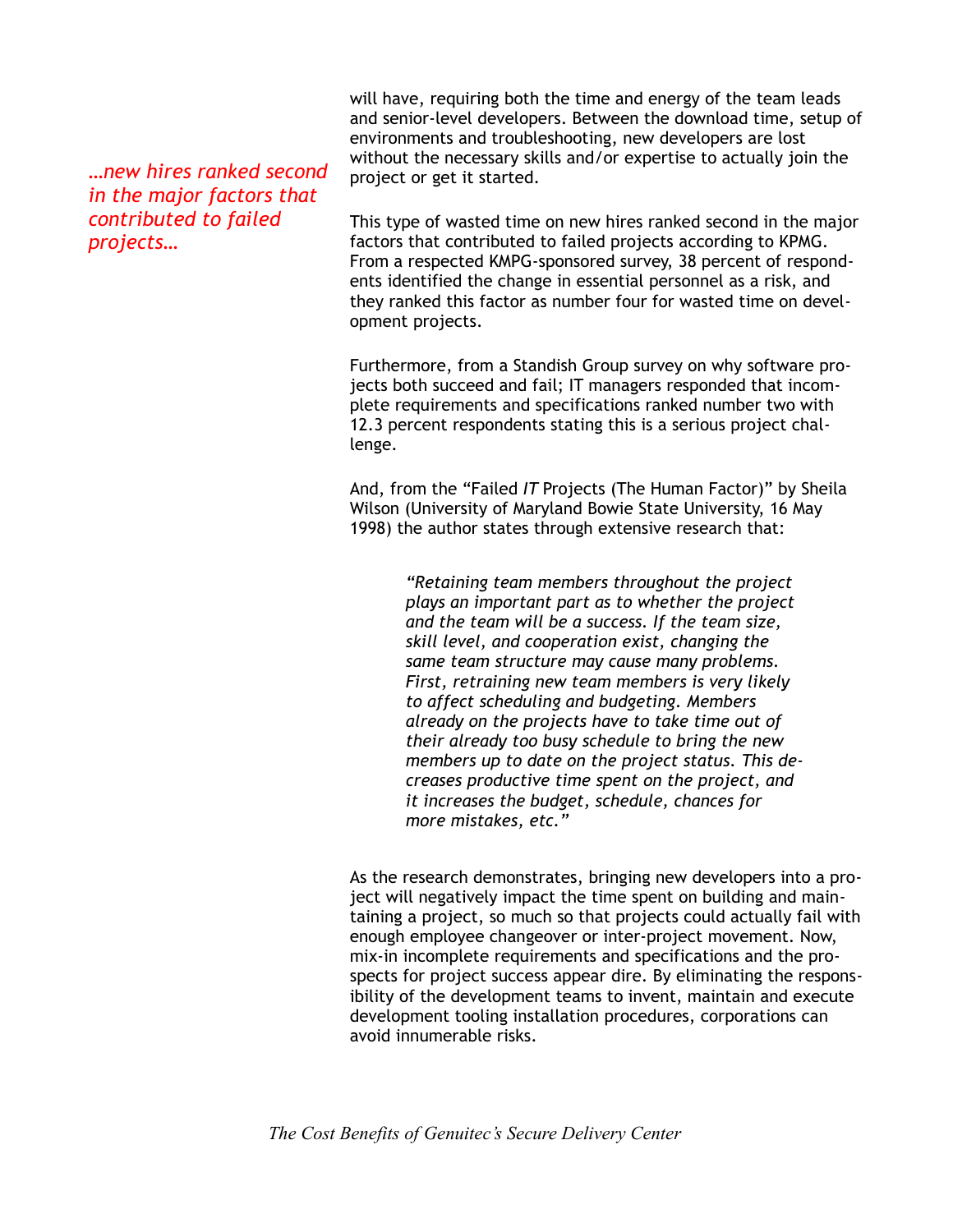*…new hires ranked second in the major factors that contributed to failed projects…*

will have, requiring both the time and energy of the team leads and senior-level developers. Between the download time, setup of environments and troubleshooting, new developers are lost without the necessary skills and/or expertise to actually join the project or get it started.

This type of wasted time on new hires ranked second in the major factors that contributed to failed projects according to KPMG. From a respected KMPG-sponsored survey, 38 percent of respondents identified the change in essential personnel as a risk, and they ranked this factor as number four for wasted time on development projects.

Furthermore, from a Standish Group survey on why software projects both succeed and fail; IT managers responded that incomplete requirements and specifications ranked number two with 12.3 percent respondents stating this is a serious project challenge.

And, from the "Failed *IT* Projects (The Human Factor)" by Sheila Wilson (University of Maryland Bowie State University, 16 May 1998) the author states through extensive research that:

> *"Retaining team members throughout the project plays an important part as to whether the project and the team will be a success. If the team size, skill level, and cooperation exist, changing the same team structure may cause many problems. First, retraining new team members is very likely to affect scheduling and budgeting. Members already on the projects have to take time out of their already too busy schedule to bring the new members up to date on the project status. This decreases productive time spent on the project, and it increases the budget, schedule, chances for more mistakes, etc."*

As the research demonstrates, bringing new developers into a project will negatively impact the time spent on building and maintaining a project, so much so that projects could actually fail with enough employee changeover or inter-project movement. Now, mix-in incomplete requirements and specifications and the prospects for project success appear dire. By eliminating the responsibility of the development teams to invent, maintain and execute development tooling installation procedures, corporations can avoid innumerable risks.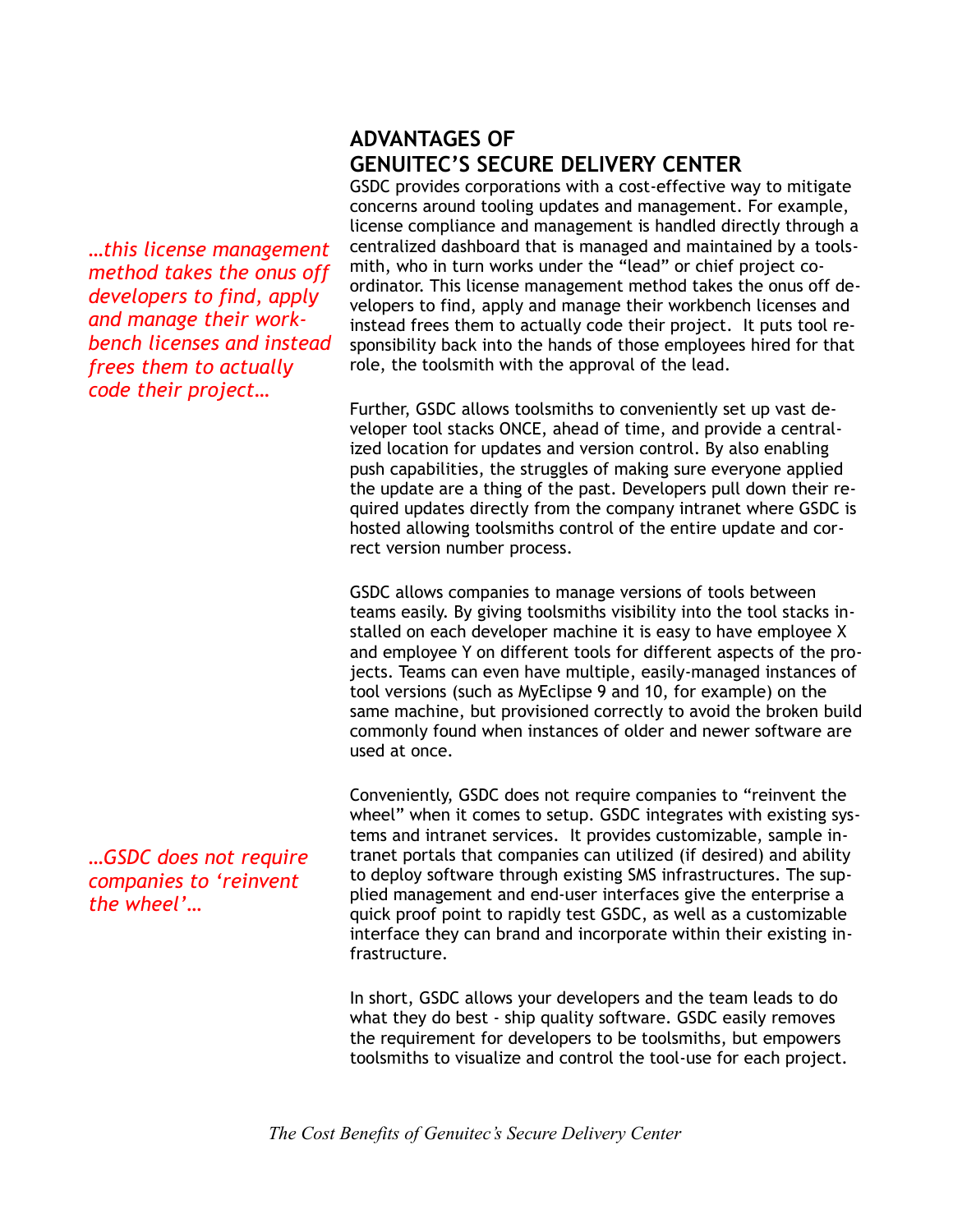*…this license management method takes the onus off developers to find, apply and manage their workbench licenses and instead frees them to actually code their project…*

*…GSDC does not require companies to 'reinvent the wheel'…*

## **ADVANTAGES OF GENUITEC'S SECURE DELIVERY CENTER**

GSDC provides corporations with a cost-effective way to mitigate concerns around tooling updates and management. For example, license compliance and management is handled directly through a centralized dashboard that is managed and maintained by a toolsmith, who in turn works under the "lead" or chief project coordinator. This license management method takes the onus off developers to find, apply and manage their workbench licenses and instead frees them to actually code their project. It puts tool responsibility back into the hands of those employees hired for that role, the toolsmith with the approval of the lead.

Further, GSDC allows toolsmiths to conveniently set up vast developer tool stacks ONCE, ahead of time, and provide a centralized location for updates and version control. By also enabling push capabilities, the struggles of making sure everyone applied the update are a thing of the past. Developers pull down their required updates directly from the company intranet where GSDC is hosted allowing toolsmiths control of the entire update and correct version number process.

GSDC allows companies to manage versions of tools between teams easily. By giving toolsmiths visibility into the tool stacks installed on each developer machine it is easy to have employee X and employee Y on different tools for different aspects of the projects. Teams can even have multiple, easily-managed instances of tool versions (such as MyEclipse 9 and 10, for example) on the same machine, but provisioned correctly to avoid the broken build commonly found when instances of older and newer software are used at once.

Conveniently, GSDC does not require companies to "reinvent the wheel" when it comes to setup. GSDC integrates with existing systems and intranet services. It provides customizable, sample intranet portals that companies can utilized (if desired) and ability to deploy software through existing SMS infrastructures. The supplied management and end-user interfaces give the enterprise a quick proof point to rapidly test GSDC, as well as a customizable interface they can brand and incorporate within their existing infrastructure.

In short, GSDC allows your developers and the team leads to do what they do best - ship quality software. GSDC easily removes the requirement for developers to be toolsmiths, but empowers toolsmiths to visualize and control the tool-use for each project.

*The Cost Benefits of Genuitec's Secure Delivery Center*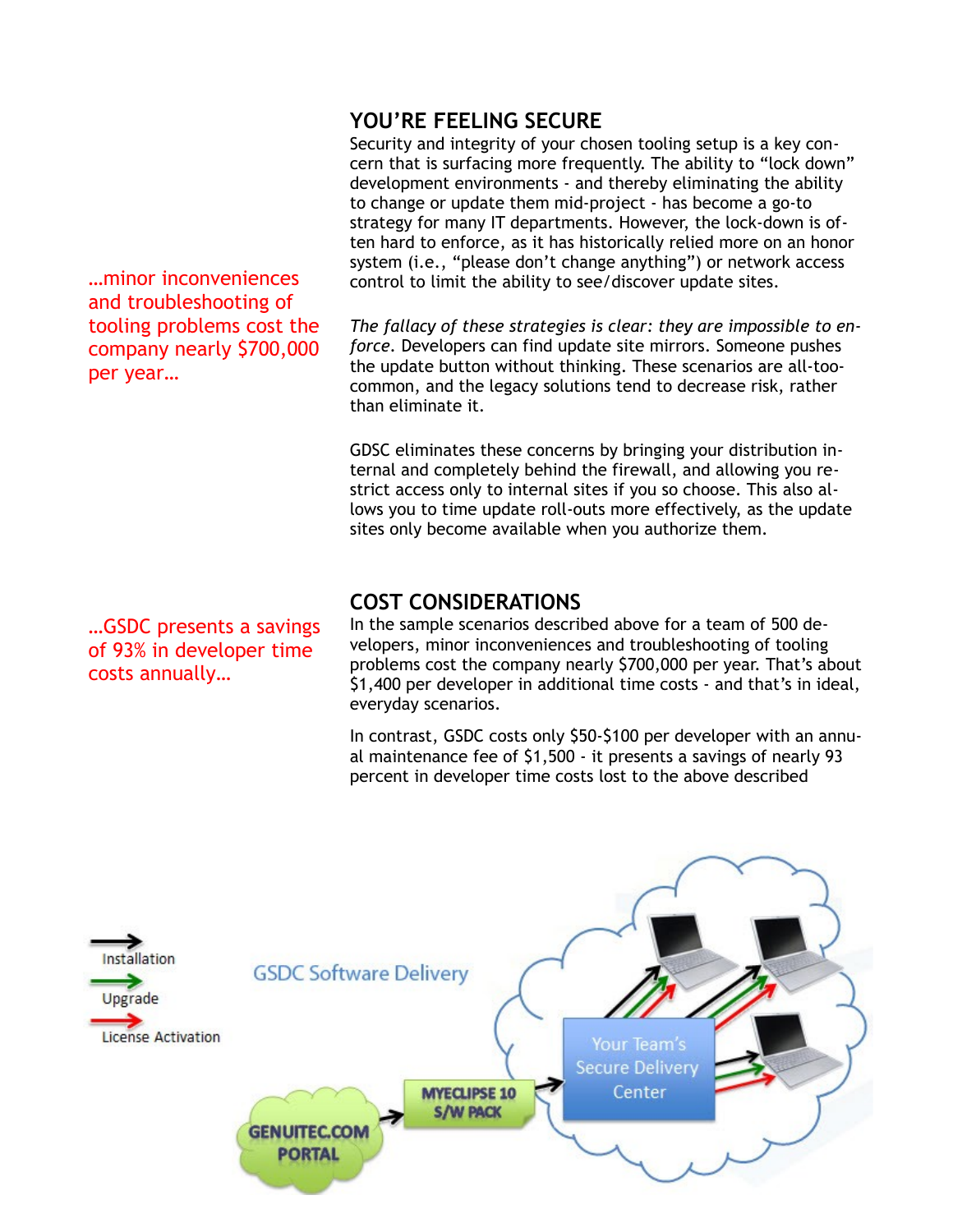*…*minor inconveniences and troubleshooting of tooling problems cost the company nearly \$700,000 per year*…*

*…*GSDC presents a savings of 93% in developer time costs annually*…*

## **YOU'RE FEELING SECURE**

Security and integrity of your chosen tooling setup is a key concern that is surfacing more frequently. The ability to "lock down" development environments - and thereby eliminating the ability to change or update them mid-project - has become a go-to strategy for many IT departments. However, the lock-down is often hard to enforce, as it has historically relied more on an honor system (i.e., "please don't change anything") or network access control to limit the ability to see/discover update sites.

*The fallacy of these strategies is clear: they are impossible to enforce.* Developers can find update site mirrors. Someone pushes the update button without thinking. These scenarios are all-toocommon, and the legacy solutions tend to decrease risk, rather than eliminate it.

GDSC eliminates these concerns by bringing your distribution internal and completely behind the firewall, and allowing you restrict access only to internal sites if you so choose. This also allows you to time update roll-outs more effectively, as the update sites only become available when you authorize them.

### **COST CONSIDERATIONS**

In the sample scenarios described above for a team of 500 developers, minor inconveniences and troubleshooting of tooling problems cost the company nearly \$700,000 per year. That's about \$1,400 per developer in additional time costs - and that's in ideal, everyday scenarios.

In contrast, GSDC costs only \$50-\$100 per developer with an annual maintenance fee of \$1,500 - it presents a savings of nearly 93 percent in developer time costs lost to the above described

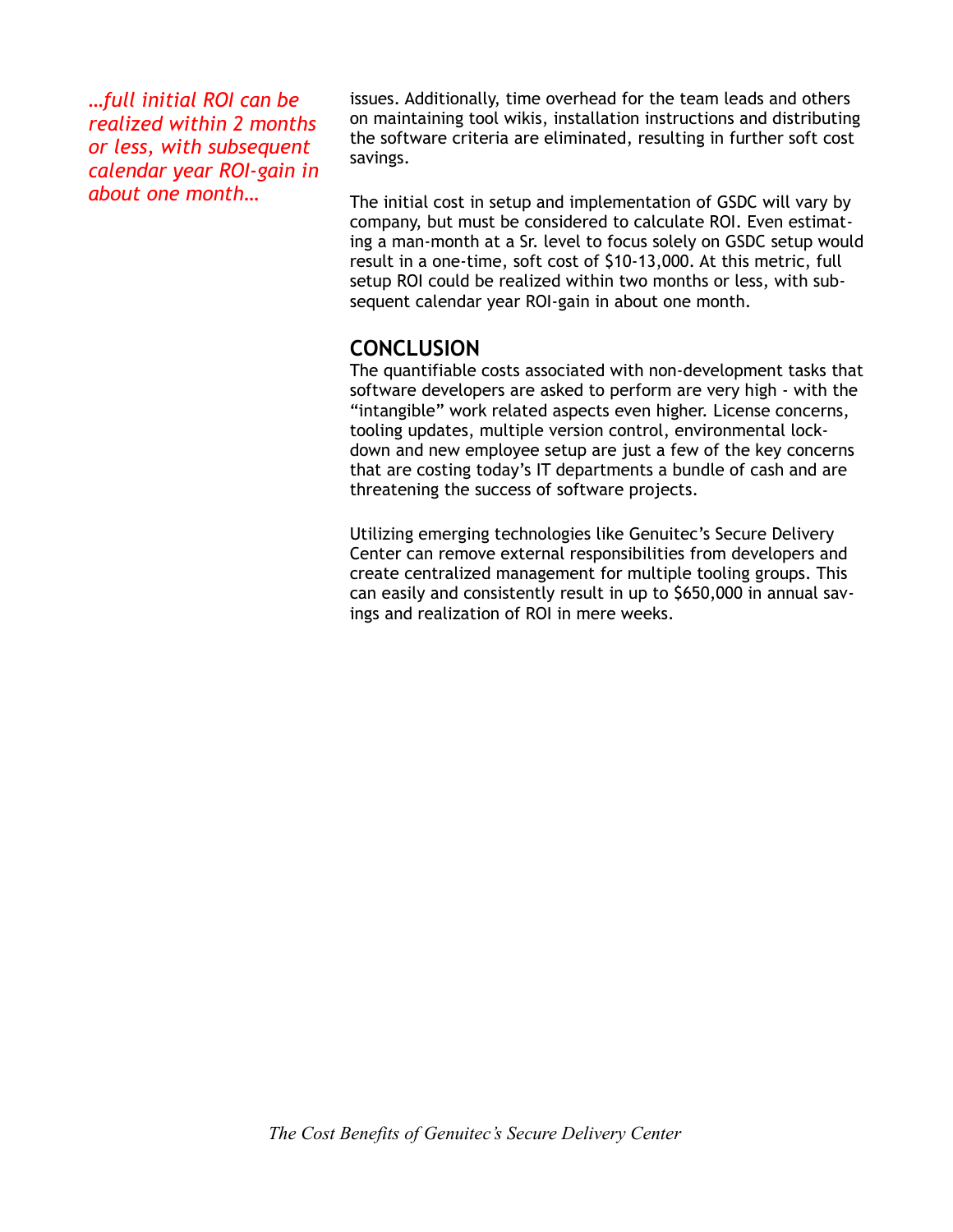*…full initial ROI can be realized within 2 months or less, with subsequent calendar year ROI-gain in about one month…*

issues. Additionally, time overhead for the team leads and others on maintaining tool wikis, installation instructions and distributing the software criteria are eliminated, resulting in further soft cost savings.

The initial cost in setup and implementation of GSDC will vary by company, but must be considered to calculate ROI. Even estimating a man-month at a Sr. level to focus solely on GSDC setup would result in a one-time, soft cost of \$10-13,000. At this metric, full setup ROI could be realized within two months or less, with subsequent calendar year ROI-gain in about one month.

## **CONCLUSION**

The quantifiable costs associated with non-development tasks that software developers are asked to perform are very high - with the "intangible" work related aspects even higher. License concerns, tooling updates, multiple version control, environmental lockdown and new employee setup are just a few of the key concerns that are costing today's IT departments a bundle of cash and are threatening the success of software projects.

Utilizing emerging technologies like Genuitec's Secure Delivery Center can remove external responsibilities from developers and create centralized management for multiple tooling groups. This can easily and consistently result in up to \$650,000 in annual savings and realization of ROI in mere weeks.